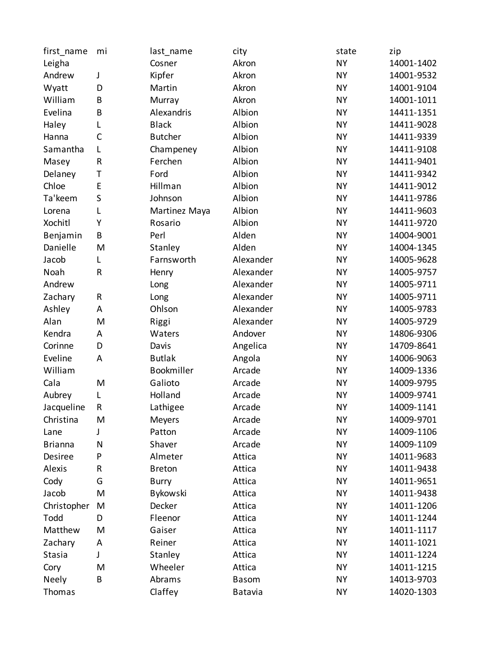| first_name     | mi           | last_name      | city         | state     | zip        |
|----------------|--------------|----------------|--------------|-----------|------------|
| Leigha         |              | Cosner         | Akron        | <b>NY</b> | 14001-1402 |
| Andrew         | J            | Kipfer         | Akron        | <b>NY</b> | 14001-9532 |
| Wyatt          | D            | Martin         | Akron        | <b>NY</b> | 14001-9104 |
| William        | B            | Murray         | Akron        | <b>NY</b> | 14001-1011 |
| Evelina        | B            | Alexandris     | Albion       | <b>NY</b> | 14411-1351 |
| Haley          | L            | <b>Black</b>   | Albion       | <b>NY</b> | 14411-9028 |
| Hanna          | $\mathsf{C}$ | <b>Butcher</b> | Albion       | <b>NY</b> | 14411-9339 |
| Samantha       | L            | Champeney      | Albion       | <b>NY</b> | 14411-9108 |
| Masey          | R            | Ferchen        | Albion       | <b>NY</b> | 14411-9401 |
| Delaney        | Τ            | Ford           | Albion       | <b>NY</b> | 14411-9342 |
| Chloe          | E            | Hillman        | Albion       | <b>NY</b> | 14411-9012 |
| Ta'keem        | $\sf S$      | Johnson        | Albion       | <b>NY</b> | 14411-9786 |
| Lorena         | L            | Martinez Maya  | Albion       | <b>NY</b> | 14411-9603 |
| Xochitl        | Υ            | Rosario        | Albion       | <b>NY</b> | 14411-9720 |
| Benjamin       | B            | Perl           | Alden        | <b>NY</b> | 14004-9001 |
| Danielle       | M            | Stanley        | Alden        | <b>NY</b> | 14004-1345 |
| Jacob          | L            | Farnsworth     | Alexander    | <b>NY</b> | 14005-9628 |
| Noah           | R            | Henry          | Alexander    | <b>NY</b> | 14005-9757 |
| Andrew         |              | Long           | Alexander    | <b>NY</b> | 14005-9711 |
| Zachary        | R            | Long           | Alexander    | <b>NY</b> | 14005-9711 |
| Ashley         | A            | Ohlson         | Alexander    | <b>NY</b> | 14005-9783 |
| Alan           | M            | Riggi          | Alexander    | <b>NY</b> | 14005-9729 |
| Kendra         | A            | Waters         | Andover      | <b>NY</b> | 14806-9306 |
| Corinne        | D            | Davis          | Angelica     | <b>NY</b> | 14709-8641 |
| Eveline        | A            | <b>Butlak</b>  | Angola       | <b>NY</b> | 14006-9063 |
| William        |              | Bookmiller     | Arcade       | <b>NY</b> | 14009-1336 |
| Cala           | M            | Galioto        | Arcade       | <b>NY</b> | 14009-9795 |
| Aubrey         | L            | Holland        | Arcade       | <b>NY</b> | 14009-9741 |
| Jacqueline     | R            | Lathigee       | Arcade       | <b>NY</b> | 14009-1141 |
| Christina      | M            | Meyers         | Arcade       | <b>NY</b> | 14009-9701 |
| Lane           |              | Patton         | Arcade       | <b>NY</b> | 14009-1106 |
| <b>Brianna</b> | N            | Shaver         | Arcade       | <b>NY</b> | 14009-1109 |
| Desiree        | P            | Almeter        | Attica       | <b>NY</b> | 14011-9683 |
| Alexis         | R            | <b>Breton</b>  | Attica       | <b>NY</b> | 14011-9438 |
| Cody           | G            | <b>Burry</b>   | Attica       | <b>NY</b> | 14011-9651 |
| Jacob          | M            | Bykowski       | Attica       | <b>NY</b> | 14011-9438 |
| Christopher    | M            | Decker         | Attica       | <b>NY</b> | 14011-1206 |
| Todd           | D            | Fleenor        | Attica       | <b>NY</b> | 14011-1244 |
| Matthew        | M            | Gaiser         | Attica       | <b>NY</b> | 14011-1117 |
| Zachary        | A            | Reiner         | Attica       | <b>NY</b> | 14011-1021 |
| Stasia         | J            | Stanley        | Attica       | <b>NY</b> | 14011-1224 |
| Cory           | M            | Wheeler        | Attica       | NΥ        | 14011-1215 |
| Neely          | B            | Abrams         | <b>Basom</b> | <b>NY</b> | 14013-9703 |
| Thomas         |              | Claffey        | Batavia      | <b>NY</b> | 14020-1303 |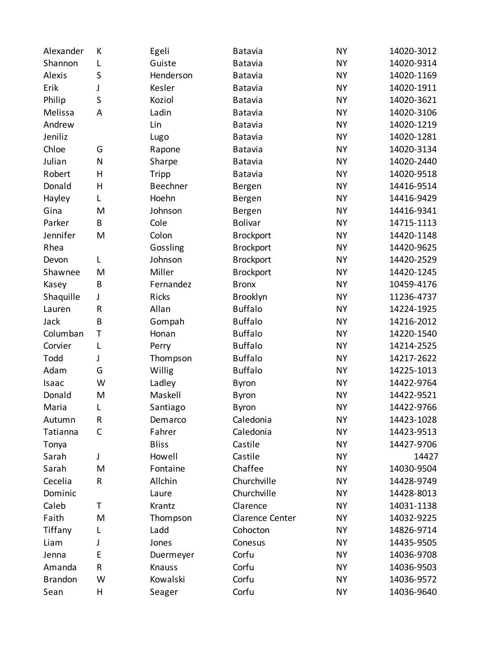| Alexander      | К           | Egeli        | Batavia          | <b>NY</b> | 14020-3012 |
|----------------|-------------|--------------|------------------|-----------|------------|
| Shannon        | L           | Guiste       | <b>Batavia</b>   | <b>NY</b> | 14020-9314 |
| Alexis         | S           | Henderson    | Batavia          | <b>NY</b> | 14020-1169 |
| Erik           | J           | Kesler       | <b>Batavia</b>   | <b>NY</b> | 14020-1911 |
| Philip         | S           | Koziol       | Batavia          | <b>NY</b> | 14020-3621 |
| Melissa        | A           | Ladin        | <b>Batavia</b>   | <b>NY</b> | 14020-3106 |
| Andrew         |             | Lin          | Batavia          | <b>NY</b> | 14020-1219 |
| Jeniliz        |             | Lugo         | Batavia          | <b>NY</b> | 14020-1281 |
| Chloe          | G           | Rapone       | Batavia          | <b>NY</b> | 14020-3134 |
| Julian         | N           | Sharpe       | Batavia          | <b>NY</b> | 14020-2440 |
| Robert         | H           | Tripp        | <b>Batavia</b>   | <b>NY</b> | 14020-9518 |
| Donald         | H           | Beechner     | Bergen           | <b>NY</b> | 14416-9514 |
| Hayley         | L           | Hoehn        | Bergen           | <b>NY</b> | 14416-9429 |
| Gina           | M           | Johnson      | Bergen           | <b>NY</b> | 14416-9341 |
| Parker         | B           | Cole         | <b>Bolivar</b>   | <b>NY</b> | 14715-1113 |
| Jennifer       | M           | Colon        | <b>Brockport</b> | <b>NY</b> | 14420-1148 |
| Rhea           |             | Gossling     | <b>Brockport</b> | <b>NY</b> | 14420-9625 |
| Devon          | L           | Johnson      | <b>Brockport</b> | <b>NY</b> | 14420-2529 |
| Shawnee        | M           | Miller       | <b>Brockport</b> | <b>NY</b> | 14420-1245 |
| Kasey          | B           | Fernandez    | <b>Bronx</b>     | <b>NY</b> | 10459-4176 |
| Shaquille      | J           | Ricks        | Brooklyn         | <b>NY</b> | 11236-4737 |
| Lauren         | R           | Allan        | <b>Buffalo</b>   | <b>NY</b> | 14224-1925 |
| Jack           | B           | Gompah       | <b>Buffalo</b>   | <b>NY</b> | 14216-2012 |
| Columban       | $\mathsf T$ | Honan        | <b>Buffalo</b>   | <b>NY</b> | 14220-1540 |
| Corvier        | L           | Perry        | <b>Buffalo</b>   | <b>NY</b> | 14214-2525 |
| Todd           | J           | Thompson     | <b>Buffalo</b>   | <b>NY</b> | 14217-2622 |
| Adam           | G           | Willig       | <b>Buffalo</b>   | <b>NY</b> | 14225-1013 |
| Isaac          | W           | Ladley       | <b>Byron</b>     | <b>NY</b> | 14422-9764 |
| Donald         | M           | Maskell      | <b>Byron</b>     | <b>NY</b> | 14422-9521 |
| Maria          | L           | Santiago     | Byron            | <b>NY</b> | 14422-9766 |
| Autumn         | R           | Demarco      | Caledonia        | <b>NY</b> | 14423-1028 |
| Tatianna       | C           | Fahrer       | Caledonia        | <b>NY</b> | 14423-9513 |
| Tonya          |             | <b>Bliss</b> | Castile          | <b>NY</b> | 14427-9706 |
| Sarah          | J           | Howell       | Castile          | <b>NY</b> | 14427      |
| Sarah          | M           | Fontaine     | Chaffee          | <b>NY</b> | 14030-9504 |
| Cecelia        | R           | Allchin      | Churchville      | <b>NY</b> | 14428-9749 |
| Dominic        |             | Laure        | Churchville      | <b>NY</b> | 14428-8013 |
| Caleb          | T           | Krantz       | Clarence         | <b>NY</b> | 14031-1138 |
| Faith          | M           | Thompson     | Clarence Center  | <b>NY</b> | 14032-9225 |
| Tiffany        | L           | Ladd         | Cohocton         | <b>NY</b> | 14826-9714 |
| Liam           | J           | Jones        | Conesus          | <b>NY</b> | 14435-9505 |
| Jenna          | E           | Duermeyer    | Corfu            | <b>NY</b> | 14036-9708 |
| Amanda         | R           | Knauss       | Corfu            | <b>NY</b> | 14036-9503 |
| <b>Brandon</b> | W           | Kowalski     | Corfu            | <b>NY</b> | 14036-9572 |
| Sean           | H           | Seager       | Corfu            | <b>NY</b> | 14036-9640 |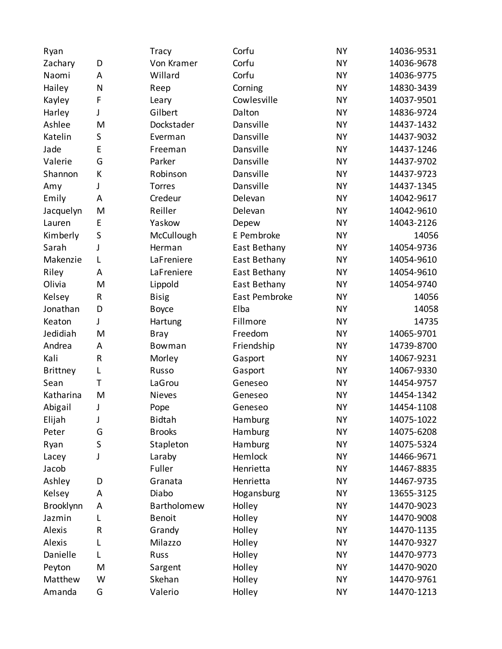| Ryan            |              | <b>Tracy</b>  | Corfu         | <b>NY</b> | 14036-9531 |
|-----------------|--------------|---------------|---------------|-----------|------------|
| Zachary         | D            | Von Kramer    | Corfu         | <b>NY</b> | 14036-9678 |
| Naomi           | A            | Willard       | Corfu         | <b>NY</b> | 14036-9775 |
| Hailey          | $\mathsf{N}$ | Reep          | Corning       | <b>NY</b> | 14830-3439 |
| Kayley          | F            | Leary         | Cowlesville   | <b>NY</b> | 14037-9501 |
| Harley          | J            | Gilbert       | Dalton        | <b>NY</b> | 14836-9724 |
| Ashlee          | M            | Dockstader    | Dansville     | <b>NY</b> | 14437-1432 |
| Katelin         | S            | Everman       | Dansville     | <b>NY</b> | 14437-9032 |
| Jade            | E            | Freeman       | Dansville     | <b>NY</b> | 14437-1246 |
| Valerie         | G            | Parker        | Dansville     | <b>NY</b> | 14437-9702 |
| Shannon         | К            | Robinson      | Dansville     | <b>NY</b> | 14437-9723 |
| Amy             | J            | Torres        | Dansville     | <b>NY</b> | 14437-1345 |
| Emily           | A            | Credeur       | Delevan       | <b>NY</b> | 14042-9617 |
| Jacquelyn       | M            | Reiller       | Delevan       | <b>NY</b> | 14042-9610 |
| Lauren          | E            | Yaskow        | Depew         | <b>NY</b> | 14043-2126 |
| Kimberly        | S            | McCullough    | E Pembroke    | <b>NY</b> | 14056      |
| Sarah           | J            | Herman        | East Bethany  | <b>NY</b> | 14054-9736 |
| Makenzie        | L            | LaFreniere    | East Bethany  | <b>NY</b> | 14054-9610 |
| Riley           | A            | LaFreniere    | East Bethany  | <b>NY</b> | 14054-9610 |
| Olivia          | M            | Lippold       | East Bethany  | <b>NY</b> | 14054-9740 |
| Kelsey          | R            | <b>Bisig</b>  | East Pembroke | <b>NY</b> | 14056      |
| Jonathan        | D            | <b>Boyce</b>  | Elba          | <b>NY</b> | 14058      |
| Keaton          | J            | Hartung       | Fillmore      | <b>NY</b> | 14735      |
| Jedidiah        | M            | Bray          | Freedom       | <b>NY</b> | 14065-9701 |
| Andrea          | A            | Bowman        | Friendship    | <b>NY</b> | 14739-8700 |
| Kali            | ${\sf R}$    | Morley        | Gasport       | <b>NY</b> | 14067-9231 |
| <b>Brittney</b> | L            | Russo         | Gasport       | <b>NY</b> | 14067-9330 |
| Sean            | $\mathsf{T}$ | LaGrou        | Geneseo       | <b>NY</b> | 14454-9757 |
| Katharina       | M            | <b>Nieves</b> | Geneseo       | <b>NY</b> | 14454-1342 |
| Abigail         | J            | Pope          | Geneseo       | <b>NY</b> | 14454-1108 |
| Elijah          | J            | <b>Bidtah</b> | Hamburg       | <b>NY</b> | 14075-1022 |
| Peter           | G            | <b>Brooks</b> | Hamburg       | <b>NY</b> | 14075-6208 |
| Ryan            | S            | Stapleton     | Hamburg       | <b>NY</b> | 14075-5324 |
| Lacey           | J            | Laraby        | Hemlock       | <b>NY</b> | 14466-9671 |
| Jacob           |              | Fuller        | Henrietta     | <b>NY</b> | 14467-8835 |
| Ashley          | D            | Granata       | Henrietta     | <b>NY</b> | 14467-9735 |
| Kelsey          | A            | Diabo         | Hogansburg    | <b>NY</b> | 13655-3125 |
| Brooklynn       | A            | Bartholomew   | Holley        | <b>NY</b> | 14470-9023 |
| Jazmin          | L            | <b>Benoit</b> | Holley        | <b>NY</b> | 14470-9008 |
| Alexis          | $\sf R$      | Grandy        | Holley        | <b>NY</b> | 14470-1135 |
| Alexis          | L            | Milazzo       | Holley        | <b>NY</b> | 14470-9327 |
| Danielle        | L            | Russ          | Holley        | <b>NY</b> | 14470-9773 |
| Peyton          | M            | Sargent       | Holley        | <b>NY</b> | 14470-9020 |
| Matthew         | W            | Skehan        | Holley        | <b>NY</b> | 14470-9761 |
| Amanda          | G            | Valerio       | Holley        | <b>NY</b> | 14470-1213 |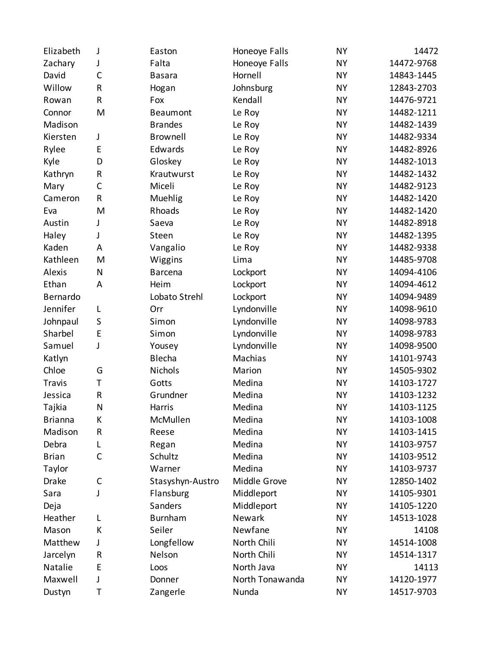| Elizabeth      | J            | Easton           | Honeoye Falls   | <b>NY</b> | 14472      |
|----------------|--------------|------------------|-----------------|-----------|------------|
| Zachary        | J            | Falta            | Honeoye Falls   | <b>NY</b> | 14472-9768 |
| David          | $\mathsf{C}$ | <b>Basara</b>    | Hornell         | <b>NY</b> | 14843-1445 |
| Willow         | R            | Hogan            | Johnsburg       | <b>NY</b> | 12843-2703 |
| Rowan          | R            | Fox              | Kendall         | <b>NY</b> | 14476-9721 |
| Connor         | M            | <b>Beaumont</b>  | Le Roy          | <b>NY</b> | 14482-1211 |
| Madison        |              | <b>Brandes</b>   | Le Roy          | <b>NY</b> | 14482-1439 |
| Kiersten       | $\mathsf J$  | Brownell         | Le Roy          | <b>NY</b> | 14482-9334 |
| Rylee          | E            | Edwards          | Le Roy          | <b>NY</b> | 14482-8926 |
| Kyle           | D            | Gloskey          | Le Roy          | <b>NY</b> | 14482-1013 |
| Kathryn        | R            | Krautwurst       | Le Roy          | <b>NY</b> | 14482-1432 |
| Mary           | $\mathsf C$  | Miceli           | Le Roy          | <b>NY</b> | 14482-9123 |
| Cameron        | R            | Muehlig          | Le Roy          | <b>NY</b> | 14482-1420 |
| Eva            | M            | Rhoads           | Le Roy          | <b>NY</b> | 14482-1420 |
| Austin         | J            | Saeva            | Le Roy          | <b>NY</b> | 14482-8918 |
| Haley          | J            | Steen            | Le Roy          | <b>NY</b> | 14482-1395 |
| Kaden          | A            | Vangalio         | Le Roy          | <b>NY</b> | 14482-9338 |
| Kathleen       | M            | Wiggins          | Lima            | <b>NY</b> | 14485-9708 |
| <b>Alexis</b>  | N            | Barcena          | Lockport        | <b>NY</b> | 14094-4106 |
| Ethan          | A            | Heim             | Lockport        | <b>NY</b> | 14094-4612 |
| Bernardo       |              | Lobato Strehl    | Lockport        | <b>NY</b> | 14094-9489 |
| Jennifer       | L            | Orr              | Lyndonville     | <b>NY</b> | 14098-9610 |
| Johnpaul       | S            | Simon            | Lyndonville     | <b>NY</b> | 14098-9783 |
| Sharbel        | E            | Simon            | Lyndonville     | <b>NY</b> | 14098-9783 |
| Samuel         | J            | Yousey           | Lyndonville     | <b>NY</b> | 14098-9500 |
| Katlyn         |              | Blecha           | Machias         | <b>NY</b> | 14101-9743 |
| Chloe          | G            | Nichols          | Marion          | <b>NY</b> | 14505-9302 |
| Travis         | T            | Gotts            | Medina          | <b>NY</b> | 14103-1727 |
| Jessica        | R            | Grundner         | Medina          | <b>NY</b> | 14103-1232 |
| Tajkia         | N            | Harris           | Medina          | <b>NY</b> | 14103-1125 |
| <b>Brianna</b> | K            | McMullen         | Medina          | <b>NY</b> | 14103-1008 |
| Madison        | R            | Reese            | Medina          | <b>NY</b> | 14103-1415 |
| Debra          | L            | Regan            | Medina          | NΥ        | 14103-9757 |
| <b>Brian</b>   | $\mathsf{C}$ | Schultz          | Medina          | <b>NY</b> | 14103-9512 |
| Taylor         |              | Warner           | Medina          | NΥ        | 14103-9737 |
| <b>Drake</b>   | C            | Stasyshyn-Austro | Middle Grove    | <b>NY</b> | 12850-1402 |
| Sara           | J            | Flansburg        | Middleport      | NΥ        | 14105-9301 |
| Deja           |              | Sanders          | Middleport      | <b>NY</b> | 14105-1220 |
| Heather        | L            | <b>Burnham</b>   | Newark          | NΥ        | 14513-1028 |
| Mason          | К            | Seiler           | Newfane         | <b>NY</b> | 14108      |
| Matthew        | J            | Longfellow       | North Chili     | NΥ        | 14514-1008 |
| Jarcelyn       | R            | Nelson           | North Chili     | <b>NY</b> | 14514-1317 |
| Natalie        | E            | Loos             | North Java      | NΥ        | 14113      |
| Maxwell        | J            | Donner           | North Tonawanda | <b>NY</b> | 14120-1977 |
| Dustyn         | T            | Zangerle         | Nunda           | NΥ        | 14517-9703 |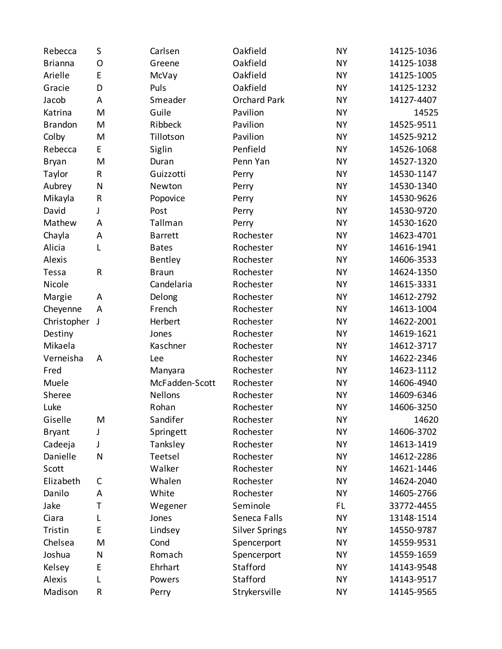| Rebecca        | S            | Carlsen        | Oakfield              | <b>NY</b> | 14125-1036 |
|----------------|--------------|----------------|-----------------------|-----------|------------|
| <b>Brianna</b> | 0            | Greene         | Oakfield              | <b>NY</b> | 14125-1038 |
| Arielle        | E            | McVay          | Oakfield              | <b>NY</b> | 14125-1005 |
| Gracie         | D            | Puls           | Oakfield              | <b>NY</b> | 14125-1232 |
| Jacob          | A            | Smeader        | <b>Orchard Park</b>   | <b>NY</b> | 14127-4407 |
| Katrina        | M            | Guile          | Pavilion              | <b>NY</b> | 14525      |
| <b>Brandon</b> | M            | Ribbeck        | Pavilion              | <b>NY</b> | 14525-9511 |
| Colby          | M            | Tillotson      | Pavilion              | <b>NY</b> | 14525-9212 |
| Rebecca        | E            | Siglin         | Penfield              | <b>NY</b> | 14526-1068 |
| <b>Bryan</b>   | M            | Duran          | Penn Yan              | <b>NY</b> | 14527-1320 |
| Taylor         | $\mathsf{R}$ | Guizzotti      | Perry                 | <b>NY</b> | 14530-1147 |
| Aubrey         | $\mathsf{N}$ | Newton         | Perry                 | <b>NY</b> | 14530-1340 |
| Mikayla        | $\sf R$      | Popovice       | Perry                 | <b>NY</b> | 14530-9626 |
| David          | J            | Post           | Perry                 | <b>NY</b> | 14530-9720 |
| Mathew         | A            | Tallman        | Perry                 | <b>NY</b> | 14530-1620 |
| Chayla         | A            | <b>Barrett</b> | Rochester             | <b>NY</b> | 14623-4701 |
| Alicia         | L            | <b>Bates</b>   | Rochester             | <b>NY</b> | 14616-1941 |
| Alexis         |              | Bentley        | Rochester             | <b>NY</b> | 14606-3533 |
| Tessa          | $\sf R$      | <b>Braun</b>   | Rochester             | <b>NY</b> | 14624-1350 |
| Nicole         |              | Candelaria     | Rochester             | <b>NY</b> | 14615-3331 |
| Margie         | A            | Delong         | Rochester             | <b>NY</b> | 14612-2792 |
| Cheyenne       | A            | French         | Rochester             | <b>NY</b> | 14613-1004 |
| Christopher    | J            | Herbert        | Rochester             | <b>NY</b> | 14622-2001 |
| Destiny        |              | Jones          | Rochester             | <b>NY</b> | 14619-1621 |
| Mikaela        |              | Kaschner       | Rochester             | <b>NY</b> | 14612-3717 |
| Verneisha      | A            | Lee            | Rochester             | <b>NY</b> | 14622-2346 |
| Fred           |              | Manyara        | Rochester             | <b>NY</b> | 14623-1112 |
| Muele          |              | McFadden-Scott | Rochester             | <b>NY</b> | 14606-4940 |
| Sheree         |              | <b>Nellons</b> | Rochester             | <b>NY</b> | 14609-6346 |
| Luke           |              | Rohan          | Rochester             | <b>NY</b> | 14606-3250 |
| Giselle        | M            | Sandifer       | Rochester             | <b>NY</b> | 14620      |
| <b>Bryant</b>  | J            | Springett      | Rochester             | <b>NY</b> | 14606-3702 |
| Cadeeja        | J            | Tanksley       | Rochester             | <b>NY</b> | 14613-1419 |
| Danielle       | N            | Teetsel        | Rochester             | <b>NY</b> | 14612-2286 |
| Scott          |              | Walker         | Rochester             | <b>NY</b> | 14621-1446 |
| Elizabeth      | C            | Whalen         | Rochester             | <b>NY</b> | 14624-2040 |
| Danilo         | A            | White          | Rochester             | <b>NY</b> | 14605-2766 |
| Jake           | Τ            | Wegener        | Seminole              | FL        | 33772-4455 |
| Ciara          | L            | Jones          | Seneca Falls          | <b>NY</b> | 13148-1514 |
| Tristin        | E            | Lindsey        | <b>Silver Springs</b> | <b>NY</b> | 14550-9787 |
| Chelsea        | M            | Cond           | Spencerport           | <b>NY</b> | 14559-9531 |
| Joshua         | $\mathsf{N}$ | Romach         | Spencerport           | <b>NY</b> | 14559-1659 |
| Kelsey         | E            | Ehrhart        | Stafford              | <b>NY</b> | 14143-9548 |
| Alexis         | L            | Powers         | Stafford              | <b>NY</b> | 14143-9517 |
| Madison        | R            | Perry          | Strykersville         | <b>NY</b> | 14145-9565 |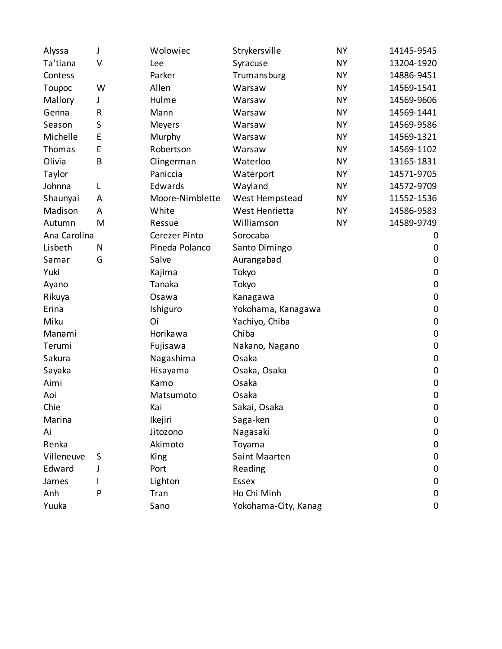| Alyssa       | J | Wolowiec             | Strykersville        | <b>NY</b> | 14145-9545       |
|--------------|---|----------------------|----------------------|-----------|------------------|
| Ta'tiana     | V | Lee                  | Syracuse             | <b>NY</b> | 13204-1920       |
| Contess      |   | Parker               | Trumansburg          | NΥ        | 14886-9451       |
| Toupoc       | W | Allen                | Warsaw               | <b>NY</b> | 14569-1541       |
| Mallory      | J | Hulme                | Warsaw               | NΥ        | 14569-9606       |
| Genna        | R | Mann                 | Warsaw               | <b>NY</b> | 14569-1441       |
| Season       | S | Meyers               | Warsaw               | NΥ        | 14569-9586       |
| Michelle     | E | Murphy               | Warsaw               | <b>NY</b> | 14569-1321       |
| Thomas       | E | Robertson            | Warsaw               | NΥ        | 14569-1102       |
| Olivia       | B | Clingerman           | Waterloo             | NΥ        | 13165-1831       |
| Taylor       |   | Paniccia             | Waterport            | NΥ        | 14571-9705       |
| Johnna       | L | Edwards              | Wayland              | <b>NY</b> | 14572-9709       |
| Shaunyai     | A | Moore-Nimblette      | West Hempstead       | NΥ        | 11552-1536       |
| Madison      | A | White                | West Henrietta       | <b>NY</b> | 14586-9583       |
| Autumn       | M | Ressue               | Williamson           | <b>NY</b> | 14589-9749       |
| Ana Carolina |   | <b>Cerezer Pinto</b> | Sorocaba             |           | 0                |
| Lisbeth      | N | Pineda Polanco       | Santo Dimingo        |           | $\mathbf 0$      |
| Samar        | G | Salve                | Aurangabad           |           | $\pmb{0}$        |
| Yuki         |   | Kajima               | Tokyo                |           | $\boldsymbol{0}$ |
| Ayano        |   | Tanaka               | Tokyo                |           | $\pmb{0}$        |
| Rikuya       |   | Osawa                | Kanagawa             |           | $\boldsymbol{0}$ |
| Erina        |   | Ishiguro             | Yokohama, Kanagawa   |           | $\pmb{0}$        |
| Miku         |   | Oi                   | Yachiyo, Chiba       |           | $\mathbf 0$      |
| Manami       |   | Horikawa             | Chiba                |           | $\pmb{0}$        |
| Terumi       |   | Fujisawa             | Nakano, Nagano       |           | $\boldsymbol{0}$ |
| Sakura       |   | Nagashima            | Osaka                |           | $\pmb{0}$        |
| Sayaka       |   | Hisayama             | Osaka, Osaka         |           | $\mathbf 0$      |
| Aimi         |   | Kamo                 | Osaka                |           | $\mathbf 0$      |
| Aoi          |   | Matsumoto            | Osaka                |           | $\mathbf 0$      |
| Chie         |   | Kai                  | Sakai, Osaka         |           | $\mathbf 0$      |
| Marina       |   | Ikejiri              | Saga-ken             |           | 0                |
| Ai           |   | Jitozono             | Nagasaki             |           | $\boldsymbol{0}$ |
| Renka        |   | Akimoto              | Toyama               |           | $\mathbf 0$      |
| Villeneuve   | S | King                 | Saint Maarten        |           | $\mathbf 0$      |
| Edward       |   | Port                 | Reading              |           | $\mathbf 0$      |
| James        |   | Lighton              | <b>Essex</b>         |           | $\boldsymbol{0}$ |
| Anh          | P | Tran                 | Ho Chi Minh          |           | $\pmb{0}$        |
| Yuuka        |   | Sano                 | Yokohama-City, Kanag |           | 0                |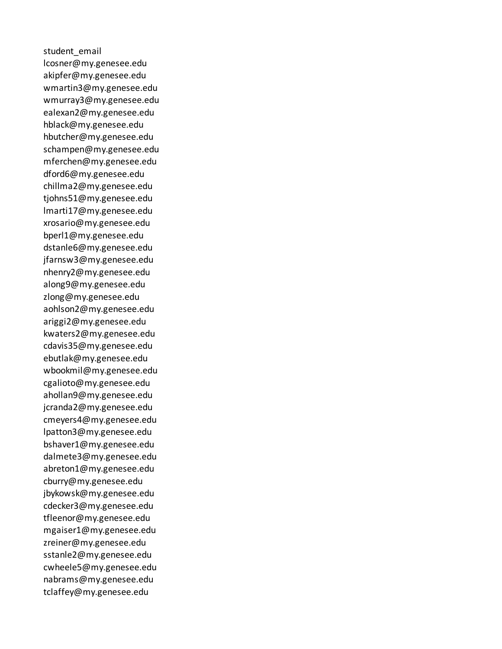student\_email lcosner@my.genesee.edu akipfer@my.genesee.edu wmartin3@my.genesee.edu wmurray3@my.genesee.edu ealexan2@my.genesee.edu hblack@my.genesee.edu hbutcher@my.genesee.edu schampen@my.genesee.edu mferchen@my.genesee.edu dford6@my.genesee.edu chillma2@my.genesee.edu tjohns51@my.genesee.edu lmarti17@my.genesee.edu xrosario@my.genesee.edu bperl1@my.genesee.edu dstanle6@my.genesee.edu jfarnsw3@my.genesee.edu nhenry2@my.genesee.edu along9@my.genesee.edu zlong@my.genesee.edu aohlson2@my.genesee.edu ariggi2@my.genesee.edu kwaters2@my.genesee.edu cdavis35@my.genesee.edu ebutlak@my.genesee.edu wbookmil@my.genesee.edu cgalioto@my.genesee.edu ahollan9@my.genesee.edu jcranda2@my.genesee.edu cmeyers4@my.genesee.edu lpatton3@my.genesee.edu bshaver1@my.genesee.edu dalmete3@my.genesee.edu abreton1@my.genesee.edu cburry@my.genesee.edu jbykowsk@my.genesee.edu cdecker3@my.genesee.edu tfleenor@my.genesee.edu mgaiser1@my.genesee.edu zreiner@my.genesee.edu sstanle2@my.genesee.edu cwheele5@my.genesee.edu nabrams@my.genesee.edu tclaffey@my.genesee.edu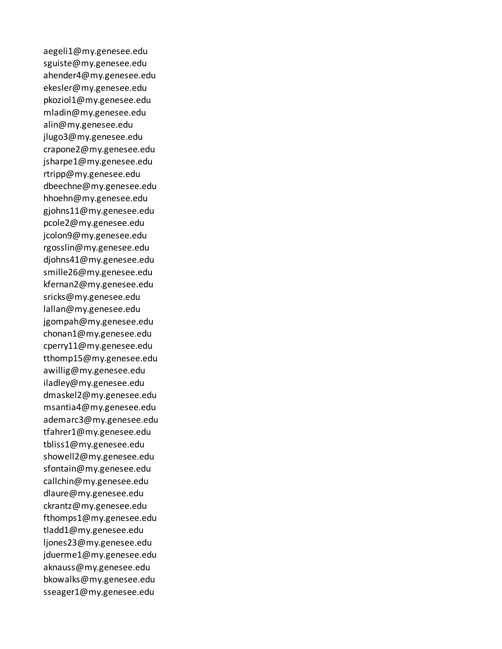aegeli1@my.genesee.edu sguiste@my.genesee.edu ahender4@my.genesee.edu ekesler@my.genesee.edu pkoziol1@my.genesee.edu mladin@my.genesee.edu alin@my.genesee.edu jlugo3@my.genesee.edu crapone2@my.genesee.edu jsharpe1@my.genesee.edu rtripp@my.genesee.edu dbeechne@my.genesee.edu hhoehn@my.genesee.edu gjohns11@my.genesee.edu pcole2@my.genesee.edu jcolon9@my.genesee.edu rgosslin@my.genesee.edu djohns41@my.genesee.edu smille26@my.genesee.edu kfernan2@my.genesee.edu sricks@my.genesee.edu lallan@my.genesee.edu jgompah@my.genesee.edu chonan1@my.genesee.edu cperry11@my.genesee.edu tthomp15@my.genesee.edu awillig@my.genesee.edu iladley@my.genesee.edu dmaskel2@my.genesee.edu msantia4@my.genesee.edu ademarc3@my.genesee.edu tfahrer1@my.genesee.edu tbliss1@my.genesee.edu showell2@my.genesee.edu sfontain@my.genesee.edu callchin@my.genesee.edu dlaure@my.genesee.edu ckrantz@my.genesee.edu fthomps1@my.genesee.edu tladd1@my.genesee.edu ljones23@my.genesee.edu jduerme1@my.genesee.edu aknauss@my.genesee.edu bkowalks@my.genesee.edu sseager1@my.genesee.edu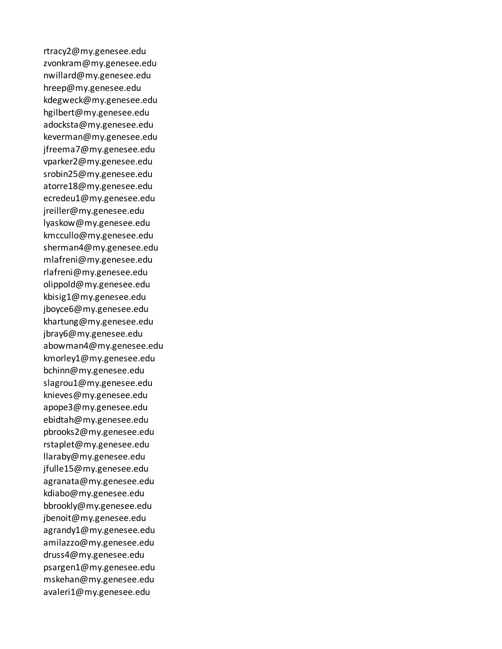rtracy2@my.genesee.edu zvonkram@my.genesee.edu nwillard@my.genesee.edu hreep@my.genesee.edu kdegweck@my.genesee.edu hgilbert@my.genesee.edu adocksta@my.genesee.edu keverman@my.genesee.edu jfreema7@my.genesee.edu vparker2@my.genesee.edu srobin25@my.genesee.edu atorre18@my.genesee.edu ecredeu1@my.genesee.edu jreiller@my.genesee.edu lyaskow@my.genesee.edu kmccullo@my.genesee.edu sherman4@my.genesee.edu mlafreni@my.genesee.edu rlafreni@my.genesee.edu olippold@my.genesee.edu kbisig1@my.genesee.edu jboyce6@my.genesee.edu khartung@my.genesee.edu jbray6@my.genesee.edu abowman4@my.genesee.edu kmorley1@my.genesee.edu bchinn@my.genesee.edu slagrou1@my.genesee.edu knieves@my.genesee.edu apope3@my.genesee.edu ebidtah@my.genesee.edu pbrooks2@my.genesee.edu rstaplet@my.genesee.edu llaraby@my.genesee.edu jfulle15@my.genesee.edu agranata@my.genesee.edu kdiabo@my.genesee.edu bbrookly@my.genesee.edu jbenoit@my.genesee.edu agrandy1@my.genesee.edu amilazzo@my.genesee.edu druss4@my.genesee.edu psargen1@my.genesee.edu mskehan@my.genesee.edu avaleri1@my.genesee.edu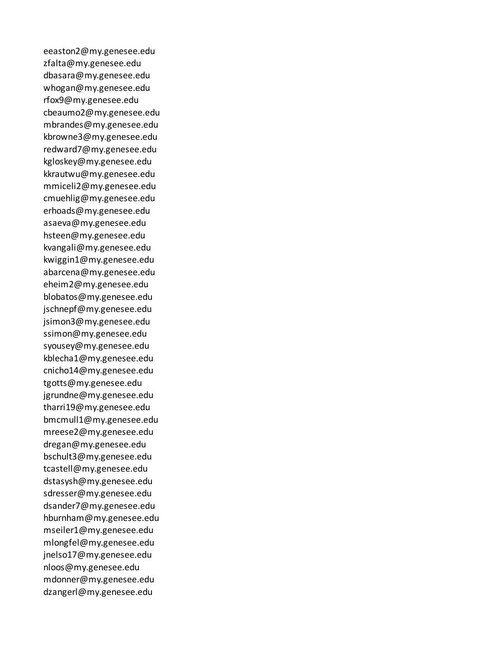eeaston2@my.genesee.edu zfalta@my.genesee.edu dbasara@my.genesee.edu whogan@my.genesee.edu rfox9@my.genesee.edu cbeaumo2@my.genesee.edu mbrandes@my.genesee.edu kbrowne3@my.genesee.edu redward7@my.genesee.edu kgloskey@my.genesee.edu kkrautwu@my.genesee.edu mmiceli2@my.genesee.edu cmuehlig@my.genesee.edu erhoads@my.genesee.edu asaeva@my.genesee.edu hsteen@my.genesee.edu kvangali@my.genesee.edu kwiggin1@my.genesee.edu abarcena@my.genesee.edu eheim2@my.genesee.edu blobatos@my.genesee.edu jschnepf@my.genesee.edu jsimon3@my.genesee.edu ssimon@my.genesee.edu syousey@my.genesee.edu kblecha1@my.genesee.edu cnicho14@my.genesee.edu tgotts@my.genesee.edu jgrundne@my.genesee.edu tharri19@my.genesee.edu bmcmull1@my.genesee.edu mreese2@my.genesee.edu dregan@my.genesee.edu bschult3@my.genesee.edu tcastell@my.genesee.edu dstasysh@my.genesee.edu sdresser@my.genesee.edu dsander7@my.genesee.edu hburnham@my.genesee.edu mseiler1@my.genesee.edu mlongfel@my.genesee.edu jnelso17@my.genesee.edu nloos@my.genesee.edu mdonner@my.genesee.edu dzangerl@my.genesee.edu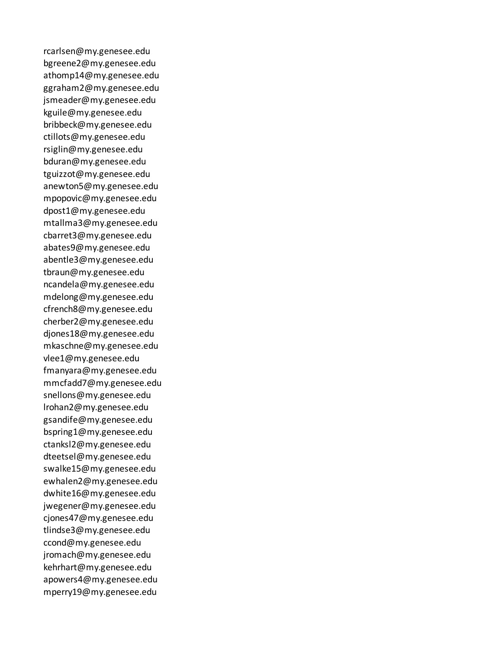rcarlsen@my.genesee.edu bgreene2@my.genesee.edu athomp14@my.genesee.edu ggraham2@my.genesee.edu jsmeader@my.genesee.edu kguile@my.genesee.edu bribbeck@my.genesee.edu ctillots@my.genesee.edu rsiglin@my.genesee.edu bduran@my.genesee.edu tguizzot@my.genesee.edu anewton5@my.genesee.edu mpopovic@my.genesee.edu dpost1@my.genesee.edu mtallma3@my.genesee.edu cbarret3@my.genesee.edu abates9@my.genesee.edu abentle3@my.genesee.edu tbraun@my.genesee.edu ncandela@my.genesee.edu mdelong@my.genesee.edu cfrench8@my.genesee.edu cherber2@my.genesee.edu djones18@my.genesee.edu mkaschne@my.genesee.edu vlee1@my.genesee.edu fmanyara@my.genesee.edu mmcfadd7@my.genesee.edu snellons@my.genesee.edu lrohan2@my.genesee.edu gsandife@my.genesee.edu bspring1@my.genesee.edu ctanksl2@my.genesee.edu dteetsel@my.genesee.edu swalke15@my.genesee.edu ewhalen2@my.genesee.edu dwhite16@my.genesee.edu jwegener@my.genesee.edu cjones47@my.genesee.edu tlindse3@my.genesee.edu ccond@my.genesee.edu jromach@my.genesee.edu kehrhart@my.genesee.edu apowers4@my.genesee.edu mperry19@my.genesee.edu